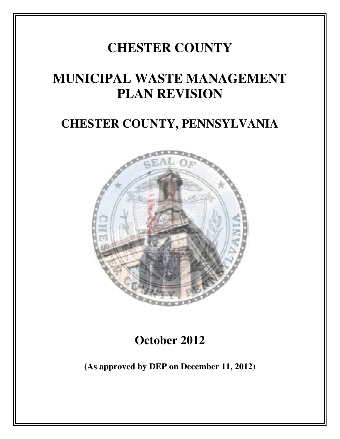## **CHESTER COUNTY**

## **MUNICIPAL WASTE MANAGEMENT PLAN REVISION**

### **CHESTER COUNTY, PENNSYLVANIA**



**October 2012** 

**(As approved by DEP on December 11, 2012) on December**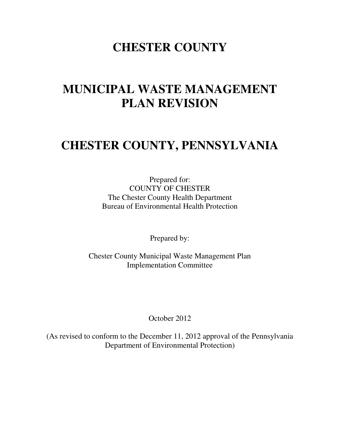### **CHESTER COUNTY**

### **MUNICIPAL WASTE MANAGEMENT PLAN REVISION**

### **CHESTER COUNTY, PENNSYLVANIA**

Prepared for: COUNTY OF CHESTER The Chester County Health Department Bureau of Environmental Health Protection

Prepared by:

Chester County Municipal Waste Management Plan Implementation Committee

October 2012

(As revised to conform to the December 11, 2012 approval of the Pennsylvania Department of Environmental Protection)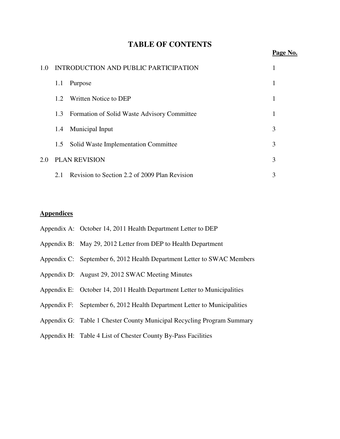|  | <b>TABLE OF CONTENTS</b> |
|--|--------------------------|
|--|--------------------------|

| 1.0                         | INTRODUCTION AND PUBLIC PARTICIPATION |                                               |   |
|-----------------------------|---------------------------------------|-----------------------------------------------|---|
|                             | 1.1                                   | Purpose                                       |   |
|                             | 1.2                                   | Written Notice to DEP                         |   |
|                             | 1.3                                   | Formation of Solid Waste Advisory Committee   |   |
|                             | 1.4                                   | Municipal Input                               | 3 |
|                             | 1.5                                   | Solid Waste Implementation Committee          | 3 |
| <b>PLAN REVISION</b><br>2.0 |                                       |                                               | 3 |
|                             | 2.1                                   | Revision to Section 2.2 of 2009 Plan Revision | 3 |

#### **Appendices**

| Appendix A: October 14, 2011 Health Department Letter to DEP             |
|--------------------------------------------------------------------------|
| Appendix B: May 29, 2012 Letter from DEP to Health Department            |
| Appendix C: September 6, 2012 Health Department Letter to SWAC Members   |
| Appendix D: August 29, 2012 SWAC Meeting Minutes                         |
| Appendix E: October 14, 2011 Health Department Letter to Municipalities  |
| Appendix F: September 6, 2012 Health Department Letter to Municipalities |
| Appendix G: Table 1 Chester County Municipal Recycling Program Summary   |
| Appendix H: Table 4 List of Chester County By-Pass Facilities            |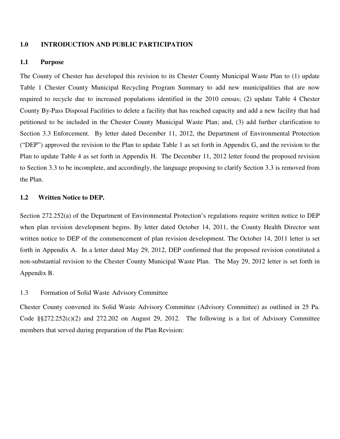#### **1.0 INTRODUCTION AND PUBLIC PARTICIPATION**

#### **1.1 Purpose**

The County of Chester has developed this revision to its Chester County Municipal Waste Plan to (1) update Table 1 Chester County Municipal Recycling Program Summary to add new municipalities that are now required to recycle due to increased populations identified in the 2010 census; (2) update Table 4 Chester County By-Pass Disposal Facilities to delete a facility that has reached capacity and add a new facility that had petitioned to be included in the Chester County Municipal Waste Plan; and, (3) add further clarification to Section 3.3 Enforcement. By letter dated December 11, 2012, the Department of Environmental Protection ("DEP") approved the revision to the Plan to update Table 1 as set forth in Appendix G, and the revision to the Plan to update Table 4 as set forth in Appendix H. The December 11, 2012 letter found the proposed revision to Section 3.3 to be incomplete, and accordingly, the language proposing to clarify Section 3.3 is removed from the Plan.

#### **1.2 Written Notice to DEP.**

Section 272.252(a) of the Department of Environmental Protection's regulations require written notice to DEP when plan revision development begins. By letter dated October 14, 2011, the County Health Director sent written notice to DEP of the commencement of plan revision development. The October 14, 2011 letter is set forth in Appendix A. In a letter dated May 29, 2012, DEP confirmed that the proposed revision constituted a non-substantial revision to the Chester County Municipal Waste Plan. The May 29, 2012 letter is set forth in Appendix B.

#### 1.3 Formation of Solid Waste Advisory Committee

Chester County convened its Solid Waste Advisory Committee (Advisory Committee) as outlined in 25 Pa. Code §§272.252(c)(2) and 272.202 on August 29, 2012. The following is a list of Advisory Committee members that served during preparation of the Plan Revision: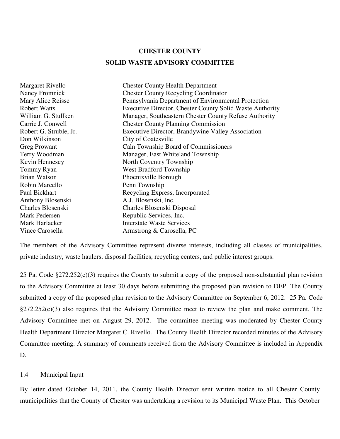#### **CHESTER COUNTY**

#### **SOLID WASTE ADVISORY COMMITTEE**

Don Wilkinson City of Coatesville Robin Marcello Penn Township Anthony Blosenski A.J. Blosenski, Inc.<br>
Charles Blosenski Charles Blosenski L

Margaret Rivello Chester County Health Department Nancy Fromnick Chester County Recycling Coordinator Mary Alice Reisse Pennsylvania Department of Environmental Protection Robert Watts Executive Director, Chester County Solid Waste Authority William G. Stullken Manager, Southeastern Chester County Refuse Authority Carrie J. Conwell Chester County Planning Commission Robert G. Struble, Jr. Executive Director, Brandywine Valley Association Greg Prowant Caln Township Board of Commissioners Terry Woodman Manager, East Whiteland Township Kevin Hennesey North Coventry Township Tommy Ryan West Bradford Township Brian Watson Phoenixville Borough Paul Bickhart Recycling Express, Incorporated Charles Blosenski Charles Blosenski Disposal Mark Pedersen Republic Services, Inc. **Mark Harlacker** Interstate Waste Services Vince Carosella Armstrong & Carosella, PC

The members of the Advisory Committee represent diverse interests, including all classes of municipalities, private industry, waste haulers, disposal facilities, recycling centers, and public interest groups.

25 Pa. Code  $\S272.252(c)(3)$  requires the County to submit a copy of the proposed non-substantial plan revision to the Advisory Committee at least 30 days before submitting the proposed plan revision to DEP. The County submitted a copy of the proposed plan revision to the Advisory Committee on September 6, 2012. 25 Pa. Code §272.252(c)(3) also requires that the Advisory Committee meet to review the plan and make comment. The Advisory Committee met on August 29, 2012. The committee meeting was moderated by Chester County Health Department Director Margaret C. Rivello. The County Health Director recorded minutes of the Advisory Committee meeting. A summary of comments received from the Advisory Committee is included in Appendix D.

#### 1.4 Municipal Input

By letter dated October 14, 2011, the County Health Director sent written notice to all Chester County municipalities that the County of Chester was undertaking a revision to its Municipal Waste Plan. This October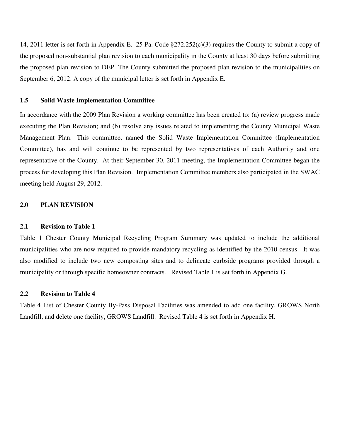14, 2011 letter is set forth in Appendix E. 25 Pa. Code §272.252(c)(3) requires the County to submit a copy of the proposed non-substantial plan revision to each municipality in the County at least 30 days before submitting the proposed plan revision to DEP. The County submitted the proposed plan revision to the municipalities on September 6, 2012. A copy of the municipal letter is set forth in Appendix E.

#### **1.5 Solid Waste Implementation Committee**

In accordance with the 2009 Plan Revision a working committee has been created to: (a) review progress made executing the Plan Revision; and (b) resolve any issues related to implementing the County Municipal Waste Management Plan. This committee, named the Solid Waste Implementation Committee (Implementation Committee), has and will continue to be represented by two representatives of each Authority and one representative of the County. At their September 30, 2011 meeting, the Implementation Committee began the process for developing this Plan Revision. Implementation Committee members also participated in the SWAC meeting held August 29, 2012.

#### **2.0 PLAN REVISION**

#### **2.1 Revision to Table 1**

Table 1 Chester County Municipal Recycling Program Summary was updated to include the additional municipalities who are now required to provide mandatory recycling as identified by the 2010 census. It was also modified to include two new composting sites and to delineate curbside programs provided through a municipality or through specific homeowner contracts. Revised Table 1 is set forth in Appendix G.

#### **2.2 Revision to Table 4**

Table 4 List of Chester County By-Pass Disposal Facilities was amended to add one facility, GROWS North Landfill, and delete one facility, GROWS Landfill. Revised Table 4 is set forth in Appendix H.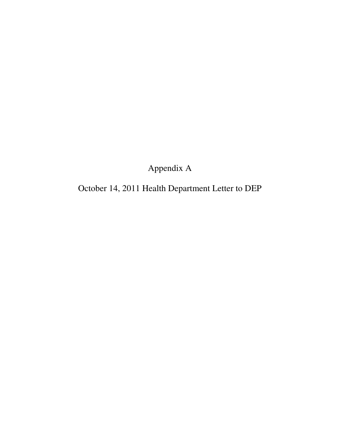Appendix A

October 14, 2011 Health Department Letter to DEP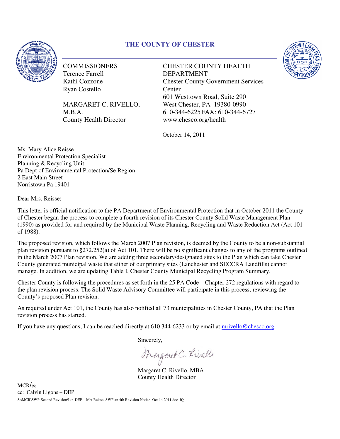#### **THE COUNTY OF CHESTER**



**COMMISSIONERS** Terence Farrell Kathi Cozzone Ryan Costello

MARGARET C. RIVELLO, M.B.A. County Health Director

COMMISSIONERS<br>
Terence Farrell<br>
Kathi Cozzone<br>
Ryan Costello<br>
MARGARET C. RIVELLO, West Chester, PA 19380-0990 DEPARTMENT Chester County Government Services **Center** 601 Westtown Road, Suite 290 West Chester, PA 19380-0990 Chester County Government Services<br>Center<br>601 Westtown Road, Suite 290<br>West Chester, PA 19380-0990<br>610-344-6225FAX: 610-344-6727 www.chesco.org/health



October 14, 2011

Ms. Mary Alice Reisse Environmental Protection Specialist Planning & Recycling Unit Pa Dept of Environmental Protection/Se Region 2 East Main Street Norristown Pa 19401

Dear Mrs. Reisse:

This letter is official notification to the PA Department of Environmental Protection that in October 2011 the County of Chester began the process to complete a fourth revision of its Chester County Solid Waste Management Plan (1990) as provided for and required by the Municipal Waste Planning, Recycling and Waste Reduction Act (Act 101 of 1988). Pa Dept of Environmental Protection/Se Region<br>2 East Main Street<br>Norristown Pa 19401<br>Dear Mrs. Reisse:<br>This letter is official notification to the PA Department of Environmental Protection that in October 2011 the County<br>o

The proposed revision, which follows the March 2007 Plan revision, is deemed by the County to be a non-substantial plan revision pursuant to §272.252(a) of Act 101. There will be no significant changes to any of the programs outlined in the March 2007 Plan revision. We are adding three secondary/designated sites to the Plan which can take Chester in the March 2007 Plan revision. We are adding three secondary/designated sites to the Plan which can take Chester<br>County generated municipal waste that either of our primary sites (Lanchester and SECCRA Landfills) cannot manage. In addition, we are updating Table I, Chester County Municipal Recycling Program Summary. ere will be no significant changes to any of the programe secondary/designated sites to the Plan which can take<br>primary sites (Lanchester and SECCRA Landfills) can<br>r County Municipal Recycling Program Summary.<br>th in the 25

Chester County is following the procedures as set forth in the 25 PA Code – Chapter 272 regulations with regard to the plan revision process. The Solid Waste Advisory Committee will participate in this process, reviewing the County's proposed Plan revision.

As required under Act 101, the County has also notified all 73 municipalities in Chester County, PA that the Plan revision process has started. the plan revision process. The Solid Waste Advisory Committee will participate in this process, reviewing<br>County's proposed Plan revision.<br>As required under Act 101, the County has also notified all 73 municipalities in Ch

If you have any questions, I can be reached directly at  $610\,344-6233$  or by email at mrivello@chesco.org.

Sincerely,

Margaret C. Rivella

Margaret C. Rivello, MBA County Health Director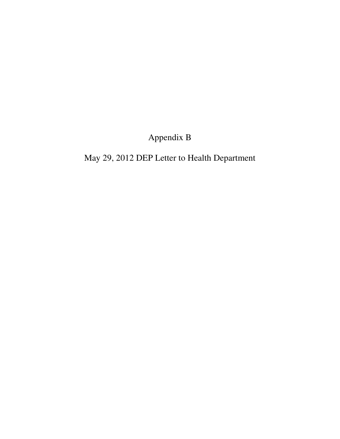Appendix B

May 29, 2012 DEP Letter to Health Department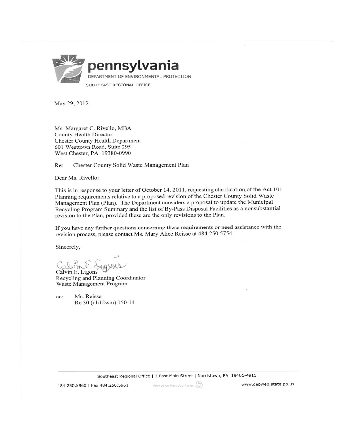

May 29, 2012

Ms. Margaret C. Rivello, MBA County Health Director **Chester County Health Department** 601 Westtown Road, Suite 295 West Chester, PA 19380-0990

Chester County Solid Waste Management Plan Re:

Dear Ms. Rivello:

This is in response to your letter of October 14, 2011, requesting clarification of the Act 101 Planning requirements relative to a proposed revision of the Chester County Solid Waste Management Plan (Plan). The Department considers a proposal to update the Municipal Recycling Program Summary and the list of By-Pass Disposal Facilities as a nonsubstantial revision to the Plan, provided these are the only revisions to the Plan.

If you have any further questions concerning these requirements or need assistance with the revision process, please contact Ms. Mary Alice Reisse at 484.250.5754.

Sincerely,

Calvin E. Ligons

Recycling and Planning Coordinator Waste Management Program

Ms. Reisse cc: Re 30 (dh12wm) 150-14

Southeast Regional Office | 2 East Main Street | Norristown, PA 19401-4915

484.250.5960 | Fax 484.250.5961

Printed on Recycled Paper (AD)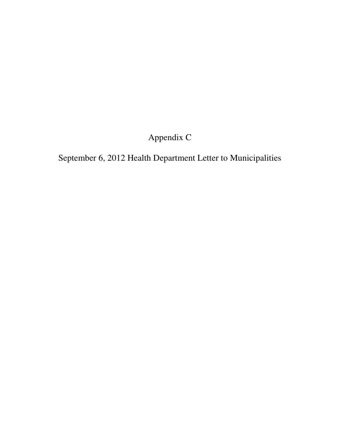### Appendix C

September 6, 2012 Health Department Letter to Municipalities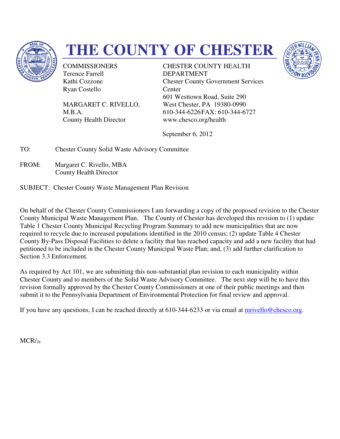

# **THE COUNTY OF CHESTER**

**COMMISSIONERS** Terence Farrell Kathi Cozzone Ryan Costello

MARGARET C. RIVELLO, M.B.A. County Health Director

COMMISSIONERS<br>
Terence Farrell<br>
Kathi Cozzone<br>
Ryan Costello<br>
MARGARET C. RIVELLO, West Chester, PA 19380-0990 DEPARTMENT Chester County Government Services **Center** 601 Westtown Road, Suite 290 West Chester, PA 19380-0990 610-344-6226FAX: 610-344-6727 www.chesco.org/health



September 6, 2012

TO: Chester County Solid Waste Advisory Committee

FROM: Margaret C. Rivello, MBA County Health Director

SUBJECT: Chester County Waste Management Plan Revision

On behalf of the Chester County Commissioners I am forwarding a copy of the proposed revision to the Chester County Municipal Waste Management Plan. The County of Chester has developed this revision to (1) update Table 1 Chester County Municipal Recycling Program Summary to add new municipalities that are now required to recycle due to increased populations identified in the 2010 census; (2) update Table 4 Chester On behalf of the Chester County Commissioners I am forwarding a copy of the proposed revision to the Chester County Municipal Waste Management Plan. The County of Chester has developed this revision to (1) update Table 1 C petitioned to be included in the Chester County Municipal Waste Plan; and, (3) add further clarification to Section 3.3 Enforcement. petitioned to be included in the Chester County Municipal Waste Plan; and, (3) add further clarification t<br>Section 3.3 Enforcement.<br>As required by Act 101, we are submitting this non-substantial plan revision to each munic Kadii Cozzone<br>
Expected Chester County Government Services<br>
Ryan Costello<br>
MARGARET C. RIVELLO,<br>
Coll West Chester, PA 19380-0990<br>
M.B.A.<br>
County Health Director<br>
September 6, 2012<br>
Chester County Solid Waste Advisory Comm

Chester County and to members of the Solid Waste Advisory Committee. The next step will be to have this revision formally approved by the Chester County Commissioners at one of their public meetings and then submit it to the Pennsylvania Department of Environmental Protection for final review and approval. revision formally approved by the Chester County Commissioners at one of their public meetings and then<br>submit it to the Pennsylvania Department of Environmental Protection for final review and approval.<br>If you have any qu

MCR/*ifg*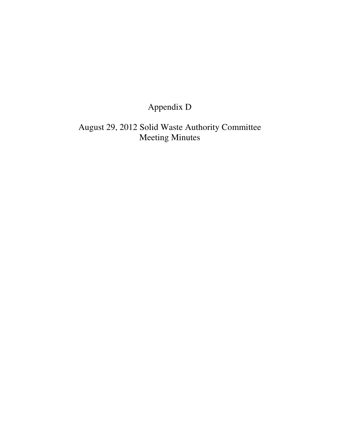### Appendix D

August 29, 2012 Solid Waste Authority Committee Meeting Minutes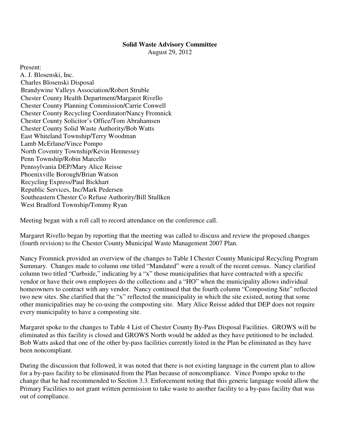#### **Solid Waste Advisory Committee**

August 29, 2012

Present: A. J. Blosenski, Inc. Charles Blosenski Disposal Brandywine Valleys Association/Robert Struble Chester County Health Department/Margaret Rivello Chester County Planning Commission/Carrie Conwell Chester County Recycling Coordinator/Nancy Fromnick Chester County Solicitor's Office/Tom Abrahamsen Chester County Solid Waste Authority/Bob Watts East Whiteland Township/Terry Woodman Lamb McErlane/Vince Pompo North Coventry Township/Kevin Hennessey Penn Township/Robin Marcello Pennsylvania DEP/Mary Alice Reisse Phoenixville Borough/Brian Watson Recycling Express/Paul Bickhart Republic Services, Inc/Mark Pedersen Southeastern Chester Co Refuse Authority/Bill Stullken West Bradford Township/Tommy Ryan

Meeting began with a roll call to record attendance on the conference call.

Margaret Rivello began by reporting that the meeting was called to discuss and review the proposed changes (fourth revision) to the Chester County Municipal Waste Management 2007 Plan.

Nancy Fromnick provided an overview of the changes to Table I Chester County Municipal Recycling Program Summary. Changes made to column one titled "Mandated" were a result of the recent census. Nancy clarified column two titled "Curbside," indicating by a "x" those municipalities that have contracted with a specific vendor or have their own employees do the collections and a "HO" when the municipality allows individual homeowners to contract with any vendor. Nancy continued that the fourth column "Composting Site" reflected two new sites. She clarified that the "x" reflected the municipality in which the site existed, noting that some other municipalities may be co-using the composting site. Mary Alice Reisse added that DEP does not require every municipality to have a composting site.

Margaret spoke to the changes to Table 4 List of Chester County By-Pass Disposal Facilities. GROWS will be eliminated as this facility is closed and GROWS North would be added as they have petitioned to be included. Bob Watts asked that one of the other by-pass facilities currently listed in the Plan be eliminated as they have been noncompliant.

During the discussion that followed, it was noted that there is not existing language in the current plan to allow for a by-pass facility to be eliminated from the Plan because of noncompliance. Vince Pompo spoke to the change that he had recommended to Section 3.3. Enforcement noting that this generic language would allow the Primary Facilities to not grant written permission to take waste to another facility to a by-pass facility that was out of compliance.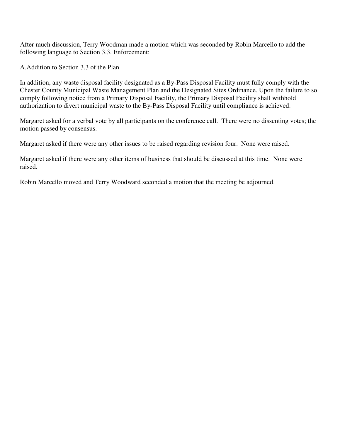After much discussion, Terry Woodman made a motion which was seconded by Robin Marcello to add the following language to Section 3.3. Enforcement:

A. Addition to Section 3.3 of the Plan

In addition, any waste disposal facility designated as a By-Pass Disposal Facility must fully comply with the Chester County Municipal Waste Management Plan and the Designated Sites Ordinance. Upon the failure to so comply following notice from a Primary Disposal Facility, the Primary Disposal Facility shall withhold authorization to divert municipal waste to the By-Pass Disposal Facility until compliance is achieved.

Margaret asked for a verbal vote by all participants on the conference call. There were no dissenting votes; the motion passed by consensus.

Margaret asked if there were any other issues to be raised regarding revision four. None were raised.

Margaret asked if there were any other items of business that should be discussed at this time. None were raised.

Robin Marcello moved and Terry Woodward seconded a motion that the meeting be adjourned.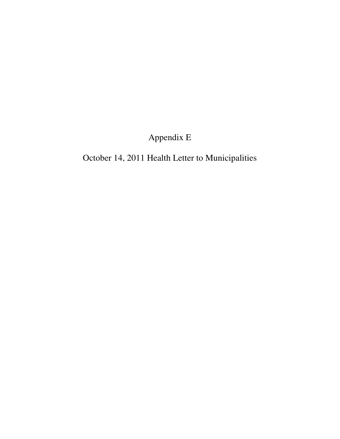Appendix E

October 14, 2011 Health Letter to Municipalities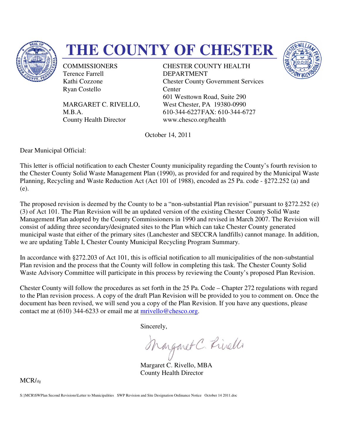

# **THE COUNTY OF CHESTER**

**COMMISSIONERS** Terence Farrell Kathi Cozzone Ryan Costello

MARGARET C. RIVELLO, M.B.A. County Health Director

COMMISSIONERS<br>
Terence Farrell<br>
Kathi Cozzone<br>
Ryan Costello<br>
MARGARET C. RIVELLO, West Chester, PA 19380-0990 DEPARTMENT Chester County Government Services **Center** 601 Westtown Road, Suite 290 West Chester, PA 19380-0990 610-344-6227FAX: 610-344-6727 www.chesco.org/health



October 14, 2011

Dear Municipal Official:

This letter is official notification to each Chester County municipality regarding the County's fourth revision to the Chester County Solid Waste Management Plan (1990), as provided for and required by the Municipal Waste This letter is official notification to each Chester County municipality regarding the County's fourth revision to<br>the Chester County Solid Waste Management Plan (1990), as provided for and required by the Municipal Waste<br> (e).

The proposed revision is deemed by the County to be a "non-substantial Plan revision" pursuant to  $\S272.252$  (e) (3) of Act 101. The Plan Revision will be an updated version of the existing Chester County Solid Waste Management Plan adopted by the County Commissioners in 1990 and revised in March 2007. The Revision will Management Plan adopted by the County Commissioners in 1990 and revised in March 2007. The Revis<br>consist of adding three secondary/designated sites to the Plan which can take Chester County generated municipal waste that either of the primary sites (Lanchester and SECCRA landfills) cannot manage. In addition, we are updating Table I, Chester County Municipal Recycling Program Summary. municipal waste that either of the primary sites (Lanchester and SECCRA landfills) cannot manage. In addition<br>we are updating Table I, Chester County Municipal Recycling Program Summary.<br>In accordance with §272.203 of Act Controls Controls Controls (Sovernment Services 672000 Controls (Sovernow Road, Sainte 2010)<br>
GARET C. RIVELLO, West Chester, PA 19380-0990<br>
A.<br>
A. (610-344-6222 PAX: 610-344-6727<br>
Uy Health Director<br>
Ordober 14, 2011<br>
Oc ing Chester County Solid Waste<br>vised in March 2007. The Revision will<br>take Chester County generated<br>A landfills) cannot manage. In addition,

Plan revision and the process that the County will follow in completing this task. The Chester County Solid Waste Advisory Committee will participate in this process by reviewing the County's proposed Plan Revision. lan revision and the process that the County will follow in completing this task. The Chester County Solid<br>Vaste Advisory Committee will participate in this process by reviewing the County's proposed Plan Revision.<br>hester

Chester County will follow the procedures as set forth in the 25 Pa. Code – Chapter 272 regulations with regard to the Plan revision process. A copy of the draft Plan Revision will be provided to you to comment on. Once the<br>document has been revised, we will send you a copy of the Plan Revision. If you have any questions, please<br>con document has been revised, we will send you a copy of the Plan Revision. If you have any questions, please contact me at  $(610)$  344-6233 or email me at mrivello@chesco.org.

Sincerely,

Margaret C. Rivello, MBA County Health Director

MCR/ifg

S:}MCR\SWPlan Second Revisions\Letter to Municipalities SWP Revision and Site Designation Ordinance Notice October 14 2011.doc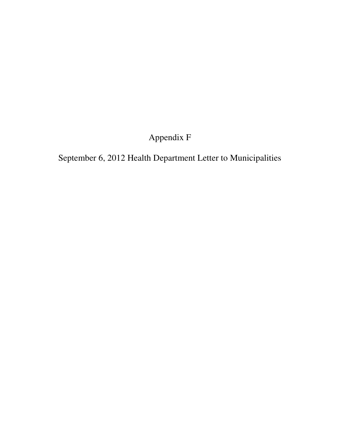### Appendix F

September 6, 2012 Health Department Letter to Municipalities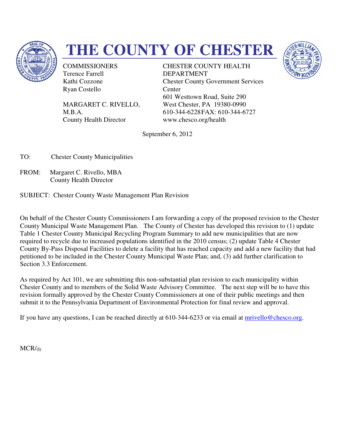

# **THE COUNTY OF CHESTER**

**COMMISSIONERS** Terence Farrell Kathi Cozzone Ryan Costello

MARGARET C. RIVELLO, M.B.A. County Health Director

COMMISSIONERS<br>
Terence Farrell<br>
Kathi Cozzone<br>
Ryan Costello<br>
MARGARET C. RIVELLO, West Chester, PA 19380-0990 DEPARTMENT Chester County Government Services **Center** 601 Westtown Road, Suite 290 West Chester, PA 19380-0990 610-344-6228FAX: 610-344-6727 www.chesco.org/health



September 6, 2012

TO: Chester County Municipalities

FROM: Margaret C. Rivello, MBA County Health Director

#### SUBJECT: Chester County Waste Management Plan Revision

On behalf of the Chester County Commissioners I am forwarding a copy of the proposed revision to the Chester County Municipal Waste Management Plan. The County of Chester has developed this revision to (1) update Table 1 Chester County Municipal Recycling Program Summary to add new mun required to recycle due to increased populations identified in the 2010 census; (2) update Table 4 Chester County By-Pass Disposal Facilities to delete a facility that has reached capacity and add a new facility that had petitioned to be included in the Chester County Municipal Waste Plan; and, (3) add further clarification to Section 3.3 Enforcement. indeed revision to the County of Chester has developed this revision to (1) u<br>Plan. The County of Chester has developed this revision to (1) u<br>ycling Program Summary to add new municipalities that are now recycle due to increased populations identified in the 2010 census; (2) update Table 4 Chester<br>Pass Disposal Facilities to delete a facility that has reached capacity and add a new facility tha<br>b be included in the Chester Chester County Government Services<br>
Center<br>
601 Westtown Road, Suite 290<br>
West Chester, PA 19380-0990<br>
610-344-6228FAX: 610-344-6727<br>
www.chesco.org/health<br>
eptember 6, 2012<br>
peptember 6, 2012<br>
12<br>
the Peptember 6, 2012<br>
1

As required by Act 101, we are submitting this non-substantial plan revision to each municipality within Chester County and to members of the Solid Waste Advisory Committee. The next step will be to have this revision formally approved by the Chester County Commissioners at one of their public meetings and then submit it to the Pennsylvania Department of Environmental Protection for final review and approval.

submit it to the Pennsylvania Department of Environmental Protection for final review and approval.<br>If you have any questions, I can be reached directly at 610-344-6233 or via email at <u>mrivello@chesco.org</u>

MCR/*ifg*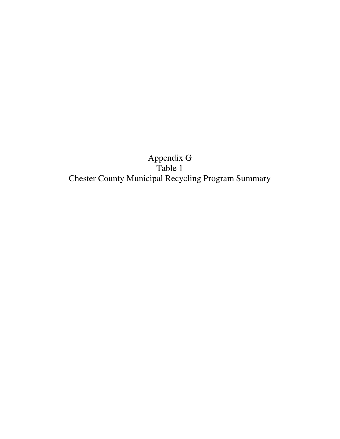Appendix G Table 1 Chester County Municipal Recycling Program Summary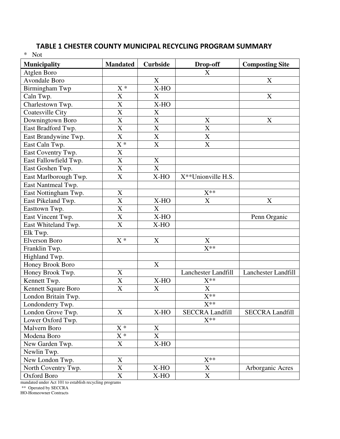| <b>Municipality</b>   | <b>Mandated</b>       | <b>Curbside</b>       | Drop-off            | <b>Composting Site</b> |
|-----------------------|-----------------------|-----------------------|---------------------|------------------------|
| Atglen Boro           |                       |                       | X                   |                        |
| <b>Avondale Boro</b>  |                       | X                     |                     | X                      |
| Birmingham Twp        | $X^*$                 | X-HO                  |                     |                        |
| Caln Twp.             | X                     | X                     |                     | X                      |
| Charlestown Twp.      | X                     | X-HO                  |                     |                        |
| Coatesville City      | X                     | $\mathbf X$           |                     |                        |
| Downingtown Boro      | $\overline{\text{X}}$ | X                     | $\mathbf X$         | X                      |
| East Bradford Twp.    | X                     | X                     | X                   |                        |
| East Brandywine Twp.  | X                     | $\mathbf X$           | $\mathbf X$         |                        |
| East Caln Twp.        | $\overline{X}^*$      | $\overline{X}$        | X                   |                        |
| East Coventry Twp.    | X                     |                       |                     |                        |
| East Fallowfield Twp. | X                     | $\mathbf X$           |                     |                        |
| East Goshen Twp.      | $\overline{\text{X}}$ | $\overline{\text{X}}$ |                     |                        |
| East Marlborough Twp. | $\overline{X}$        | X-HO                  | X**Unionville H.S.  |                        |
| East Nantmeal Twp.    |                       |                       |                     |                        |
| East Nottingham Twp.  | $\mathbf X$           |                       | $X^{**}$            |                        |
| East Pikeland Twp.    | X                     | X-HO                  | X                   | X                      |
| Easttown Twp.         | X                     | X                     |                     |                        |
| East Vincent Twp.     | X                     | X-HO                  |                     | Penn Organic           |
| East Whiteland Twp.   | $\overline{\text{X}}$ | X-HO                  |                     |                        |
| Elk Twp.              |                       |                       |                     |                        |
| <b>Elverson Boro</b>  | $X^*$                 | X                     | X                   |                        |
| Franklin Twp.         |                       |                       | $X^{**}$            |                        |
| Highland Twp.         |                       |                       |                     |                        |
| Honey Brook Boro      |                       | $\mathbf X$           |                     |                        |
| Honey Brook Twp.      | $\mathbf X$           |                       | Lanchester Landfill | Lanchester Landfill    |
| Kennett Twp.          | X                     | $X-HO$                | $X^{**}$            |                        |
| Kennett Square Boro   | $\overline{\text{X}}$ | $\mathbf X$           | X                   |                        |
| London Britain Twp.   |                       |                       | $\overline{X^{**}}$ |                        |
| Londonderry Twp.      |                       |                       | $X^{**}$            |                        |

London Grove Twp. X X-HO SECCRA Landfill SECCRA Landfill<br>Lower Oxford Twp. X<sup>\*\*</sup>

North Coventry Twp. X X-HO X Arborganic Acres

Eondonderry Twp.<br>
Eondon Grove Twp.<br>
X X-HO SECCRA Landfill

New London Twp.<br>
North Coventry Twp.<br>
X X-HO X<br>
X

Oxford Boro X X-HO X

#### TABLE 1 CHESTER COUNTY MUNICIPAL RECYCLING PROGRAM SUMMARY

mandated under Act 101 to establish recycling programs

New Garden Twp. X

Malvern Boro X<sup>\*</sup> X

Modena Boro X<sup>\*</sup> X<br>
New Garden Twp. X X X-HO

\*\* Operated by SECCRA

Newlin Twp.

Lower Oxford Twp.

\* Not

HO-Homeowner Contracts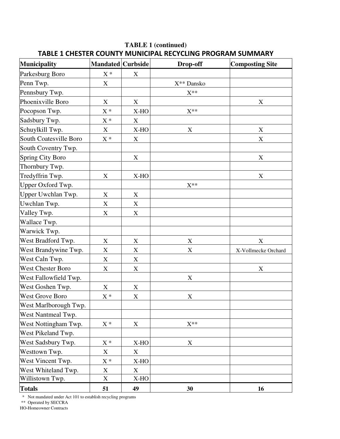| <b>Municipality</b>     | <b>Mandated</b> Curbside  |                           | Drop-off    | <b>Composting Site</b>    |
|-------------------------|---------------------------|---------------------------|-------------|---------------------------|
| Parkesburg Boro         | $\mathbf{X}$ *            | X                         |             |                           |
| Penn Twp.               | $\mathbf X$               |                           | X** Dansko  |                           |
| Pennsbury Twp.          |                           |                           | $X^{**}$    |                           |
| Phoenixville Boro       | X                         | X                         |             | X                         |
| Pocopson Twp.           | $\mathbf{X}$ *            | X-HO                      | $X^{**}$    |                           |
| Sadsbury Twp.           | $\mathbf{X}$ *            | X                         |             |                           |
| Schuylkill Twp.         | X                         | X-HO                      | X           | $\boldsymbol{\mathrm{X}}$ |
| South Coatesville Boro  | $X^*$                     | X                         |             | X                         |
| South Coventry Twp.     |                           |                           |             |                           |
| <b>Spring City Boro</b> |                           | X                         |             | $\boldsymbol{\mathrm{X}}$ |
| Thornbury Twp.          |                           |                           |             |                           |
| Tredyffrin Twp.         | $\boldsymbol{\mathrm{X}}$ | X-HO                      |             | $\mathbf X$               |
| Upper Oxford Twp.       |                           |                           | $X^{**}$    |                           |
| Upper Uwchlan Twp.      | $\boldsymbol{\mathrm{X}}$ | $\boldsymbol{\mathrm{X}}$ |             |                           |
| Uwchlan Twp.            | X                         | X                         |             |                           |
| Valley Twp.             | $\mathbf X$               | $\mathbf X$               |             |                           |
| Wallace Twp.            |                           |                           |             |                           |
| Warwick Twp.            |                           |                           |             |                           |
| West Bradford Twp.      | X                         | X                         | $\mathbf X$ | X                         |
| West Brandywine Twp.    | $\mathbf X$               | X                         | X           | X-Vollmecke Orchard       |
| West Caln Twp.          | $\mathbf X$               | $\mathbf X$               |             |                           |
| West Chester Boro       | $\boldsymbol{\mathrm{X}}$ | X                         |             | $\mathbf X$               |
| West Fallowfield Twp.   |                           |                           | X           |                           |
| West Goshen Twp.        | X                         | X                         |             |                           |
| <b>West Grove Boro</b>  | $\mathbf{X}$ *            | $\mathbf X$               | $\mathbf X$ |                           |
| West Marlborough Twp.   |                           |                           |             |                           |
| West Nantmeal Twp.      |                           |                           |             |                           |
| West Nottingham Twp.    | $X^*$                     | X                         | $X^{**}$    |                           |
| West Pikeland Twp.      |                           |                           |             |                           |
| West Sadsbury Twp.      | $\mathbf{X}$ *            | X-HO                      | $\mathbf X$ |                           |
| Westtown Twp.           | X                         | X                         |             |                           |
| West Vincent Twp.       | $\mathbf{X}^{\,*}$        | X-HO                      |             |                           |
| West Whiteland Twp.     | $\mathbf X$               | X                         |             |                           |
| Willistown Twp.         | X                         | X-HO                      |             |                           |
| <b>Totals</b>           | 51                        | 49                        | 30          | 16                        |

#### **TABLE 1 (continued)**  TABLE 1 CHESTER COUNTY MUNICIPAL RECYCLING PROGRAM SUMMARY

\* Not mandated under Act 101 to establish recycling programs

\*\* Operated by SECCRA

HO-Homeowner Contracts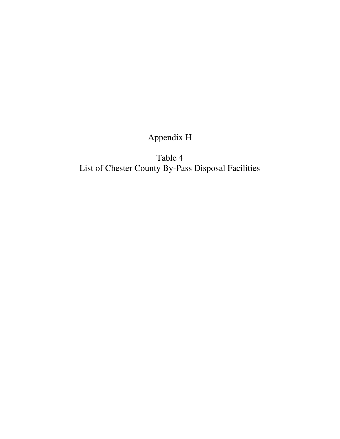### Appendix H

Table 4 List of Chester County By-Pass Disposal Facilities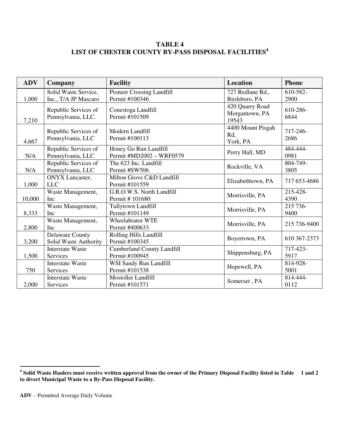#### **TABLE 4 LIST OF CHESTER COUNTY BY-PASS DISPOSAL FACILITIES<sup>4</sup>**

| <b>ADV</b> | Company                 | <b>Facility</b>                   | Location                | <b>Phone</b>     |
|------------|-------------------------|-----------------------------------|-------------------------|------------------|
|            | Solid Waste Service,    | <b>Pioneer Crossing Landfill</b>  | 727 Redlane Rd.,        | 610-582-         |
| 1,000      | Inc., T/A JP Mascaro    | Permit #100346<br>Birdsboro, PA   |                         | 2900             |
|            | Republic Services of    | Conestoga Landfill                | 420 Quarry Road         | 610-286-         |
| 7,210      | Pennsylvania, LLC.      | Permit #101509                    | Morgantown, PA<br>19543 | 6844             |
|            | Republic Services of    | Modern Landfill                   | 4400 Mount Pisgah       | 717-246-         |
| 4,667      | Pennsylvania, LLC       | Permit #100113                    | Rd,<br>York, PA         | 2686             |
|            | Republic Services of    | Honey Go Run Landfill             | Perry Hall, MD          | 484-444-         |
| N/A        | Pennsylvania, LLC       | Permit #MD2002 - WRF0579          |                         | 0981             |
|            | Republic Services of    | The 623 Inc. Landfill             | Rockville, VA           | 804-749-         |
| N/A        | Pennsylvania, LLC       | Permit #SW506                     |                         | 3805             |
|            | <b>ONYX</b> Lancaster,  | Milton Grove C&D Landfill         | Elizabethtown, PA       | 717 653-4686     |
| 1,000      | <b>LLC</b>              | Permit #101559                    |                         |                  |
|            | Waste Management,       | G.R.O.W.S. North Landfill         | Morrisville, PA         | 215-428-<br>4390 |
| 10,000     | Inc                     | Permit #101680                    |                         |                  |
|            | Waste Management,       | Tullytown Landfill                | Morrisville, PA         | 215 736-         |
| 8,333      | Inc                     | Permit #101149                    |                         | 9400             |
|            | Waste Management,       | <b>Wheelabrator WTE</b>           | Morrisville, PA         | 215 736-9400     |
| 2,800      | Inc                     | Permit #400633                    |                         |                  |
|            | <b>Delaware County</b>  | Rolling Hills Landfill            | Boyertown, PA           | 610 367-2373     |
| 3,200      | Solid Waste Authority   | Permit #100345                    |                         |                  |
|            | <b>Interstate Waste</b> | <b>Cumberland County Landfill</b> | Shippensburg, PA        | 717-423-         |
| 1,500      | Services                | Permit #100945                    |                         | 5917             |
|            | <b>Interstate Waste</b> | WSI Sandy Run Landfill            | Hopewell, PA            |                  |
| 750        | Services                | Permit #101538                    |                         | 5001             |
|            | <b>Interstate Waste</b> | <b>Mostoller Landfill</b>         |                         | 814-444-         |
| 2,000      | Services                | Permit #101571                    | Somerset, PA            | 0112             |

 **4 Solid Waste Haulers must receive written approval from the owner of the Primary Disposal Facility listed in Table 1 and 2 to divert Municipal Waste to a By-Pass Disposal Facility.**